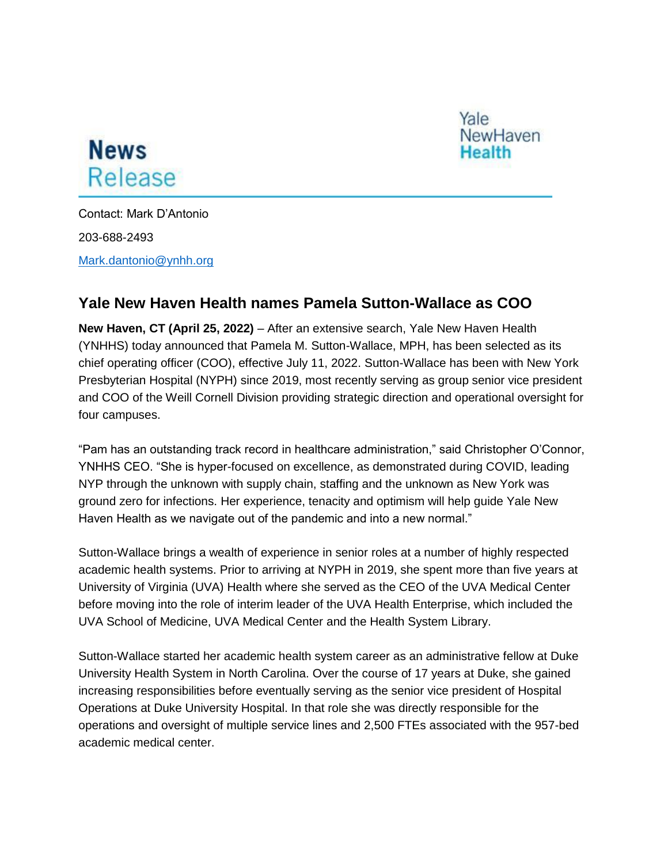



Contact: Mark D'Antonio 203-688-2493 [Mark.dantonio@ynhh.org](mailto:Mark.dantonio@ynhh.org)

## **Yale New Haven Health names Pamela Sutton-Wallace as COO**

**New Haven, CT (April 25, 2022)** – After an extensive search, Yale New Haven Health (YNHHS) today announced that Pamela M. Sutton-Wallace, MPH, has been selected as its chief operating officer (COO), effective July 11, 2022. Sutton-Wallace has been with New York Presbyterian Hospital (NYPH) since 2019, most recently serving as group senior vice president and COO of the Weill Cornell Division providing strategic direction and operational oversight for four campuses.

"Pam has an outstanding track record in healthcare administration," said Christopher O'Connor, YNHHS CEO. "She is hyper-focused on excellence, as demonstrated during COVID, leading NYP through the unknown with supply chain, staffing and the unknown as New York was ground zero for infections. Her experience, tenacity and optimism will help guide Yale New Haven Health as we navigate out of the pandemic and into a new normal."

Sutton-Wallace brings a wealth of experience in senior roles at a number of highly respected academic health systems. Prior to arriving at NYPH in 2019, she spent more than five years at University of Virginia (UVA) Health where she served as the CEO of the UVA Medical Center before moving into the role of interim leader of the UVA Health Enterprise, which included the UVA School of Medicine, UVA Medical Center and the Health System Library.

Sutton-Wallace started her academic health system career as an administrative fellow at Duke University Health System in North Carolina. Over the course of 17 years at Duke, she gained increasing responsibilities before eventually serving as the senior vice president of Hospital Operations at Duke University Hospital. In that role she was directly responsible for the operations and oversight of multiple service lines and 2,500 FTEs associated with the 957-bed academic medical center.